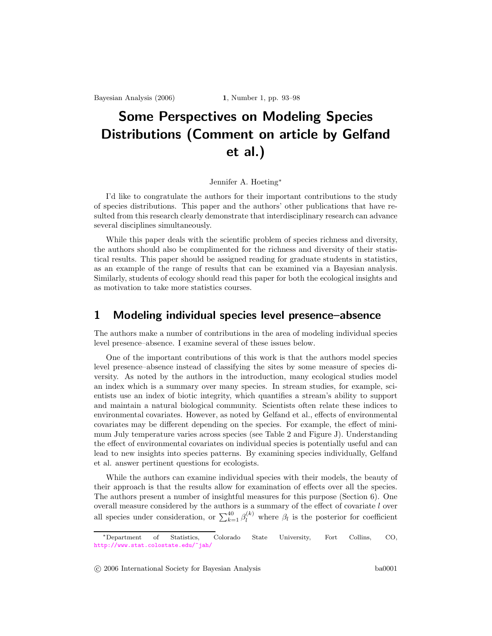Bayesian Analysis (2006) 1, Number 1, pp. 93–98

# Some Perspectives on Modeling Species Distributions (Comment on article by Gelfand et al.)

#### Jennifer A. Hoeting<sup>∗</sup>

I'd like to congratulate the authors for their important contributions to the study of species distributions. This paper and the authors' other publications that have resulted from this research clearly demonstrate that interdisciplinary research can advance several disciplines simultaneously.

While this paper deals with the scientific problem of species richness and diversity, the authors should also be complimented for the richness and diversity of their statistical results. This paper should be assigned reading for graduate students in statistics, as an example of the range of results that can be examined via a Bayesian analysis. Similarly, students of ecology should read this paper for both the ecological insights and as motivation to take more statistics courses.

### 1 Modeling individual species level presence–absence

The authors make a number of contributions in the area of modeling individual species level presence–absence. I examine several of these issues below.

One of the important contributions of this work is that the authors model species level presence–absence instead of classifying the sites by some measure of species diversity. As noted by the authors in the introduction, many ecological studies model an index which is a summary over many species. In stream studies, for example, scientists use an index of biotic integrity, which quantifies a stream's ability to support and maintain a natural biological community. Scientists often relate these indices to environmental covariates. However, as noted by Gelfand et al., effects of environmental covariates may be different depending on the species. For example, the effect of minimum July temperature varies across species (see Table 2 and Figure J). Understanding the effect of environmental covariates on individual species is potentially useful and can lead to new insights into species patterns. By examining species individually, Gelfand et al. answer pertinent questions for ecologists.

While the authors can examine individual species with their models, the beauty of their approach is that the results allow for examination of effects over all the species. The authors present a number of insightful measures for this purpose (Section 6). One overall measure considered by the authors is a summary of the effect of covariate  $l$  over all species under consideration, or  $\sum_{k=1}^{40} \beta_l^{(k)}$  where  $\beta_l$  is the posterior for coefficient

<sup>∗</sup>Department of Statistics, Colorado State University, Fort Collins, CO, <http://www.stat.colostate.edu/~jah/>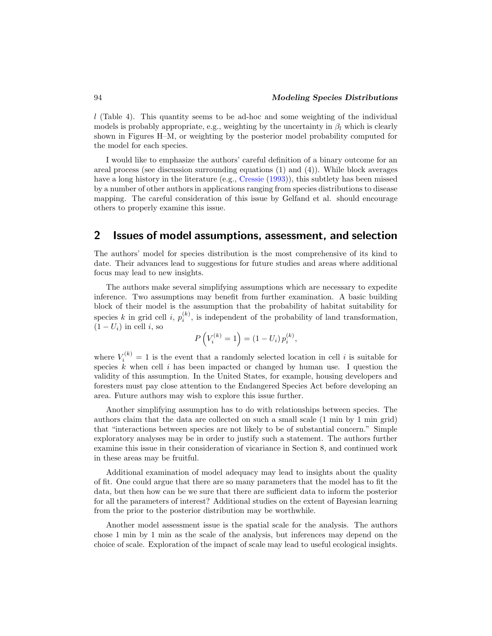$l$  (Table 4). This quantity seems to be ad-hoc and some weighting of the individual models is probably appropriate, e.g., weighting by the uncertainty in  $\beta_l$  which is clearly shown in Figures H–M, or weighting by the posterior model probability computed for the model for each species.

I would like to emphasize the authors' careful definition of a binary outcome for an areal process (see discussion surrounding equations (1) and (4)). While block averages have a long history in the literature (e.g., Cressie (1993)), this subtlety has been missed by a number of other authors in applications ranging from species distributions to disease mapping. The careful consideration of this issue by Gelfand et al. should encourage others to properly examine this issue.

#### 2 Issues of model assumptions, assessment, and selection

The authors' model for species distribution is the most comprehensive of its kind to date. Their advances lead to suggestions for future studies and areas where additional focus may lead to new insights.

The authors make several simplifying assumptions which are necessary to expedite inference. Two assumptions may benefit from further examination. A basic building block of their model is the assumption that the probability of habitat suitability for species k in grid cell i,  $p_i^{(k)}$ , is independent of the probability of land transformation,  $(1-U_i)$  in cell i, so

$$
P\left(V_i^{(k)} = 1\right) = (1 - U_i) p_i^{(k)},
$$

where  $V_i^{(k)} = 1$  is the event that a randomly selected location in cell i is suitable for species  $\hat{k}$  when cell i has been impacted or changed by human use. I question the validity of this assumption. In the United States, for example, housing developers and foresters must pay close attention to the Endangered Species Act before developing an area. Future authors may wish to explore this issue further.

Another simplifying assumption has to do with relationships between species. The authors claim that the data are collected on such a small scale (1 min by 1 min grid) that "interactions between species are not likely to be of substantial concern." Simple exploratory analyses may be in order to justify such a statement. The authors further examine this issue in their consideration of vicariance in Section 8, and continued work in these areas may be fruitful.

Additional examination of model adequacy may lead to insights about the quality of fit. One could argue that there are so many parameters that the model has to fit the data, but then how can be we sure that there are sufficient data to inform the posterior for all the parameters of interest? Additional studies on the extent of Bayesian learning from the prior to the posterior distribution may be worthwhile.

Another model assessment issue is the spatial scale for the analysis. The authors chose 1 min by 1 min as the scale of the analysis, but inferences may depend on the choice of scale. Exploration of the impact of scale may lead to useful ecological insights.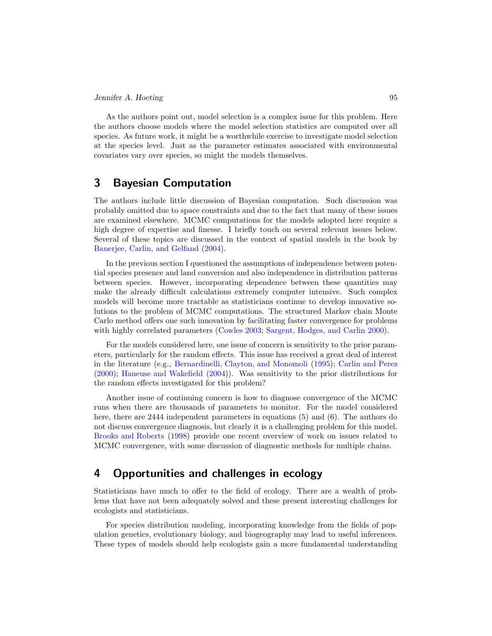As the authors point out, model selection is a complex issue for this problem. Here the authors choose models where the model selection statistics are computed over all species. As future work, it might be a worthwhile exercise to investigate model selection at the species level. Just as the parameter estimates associated with environmental covariates vary over species, so might the models themselves.

## 3 Bayesian Computation

The authors include little discussion of Bayesian computation. Such discussion was probably omitted due to space constraints and due to the fact that many of these issues are examined elsewhere. MCMC computations for the models adopted here require a high degree of expertise and finesse. I briefly touch on several relevant issues below. Several of these topics are discussed in the context of spatial models in the book by Banerjee, Carlin, and Gelfand (2004).

In the previous section I questioned the assumptions of independence between potential species presence and land conversion and also independence in distribution patterns between species. However, incorporating dependence between these quantities may make the already difficult calculations extremely computer intensive. Such complex models will become more tractable as statisticians continue to develop innovative solutions to the problem of MCMC computations. The structured Markov chain Monte Carlo method offers one such innovation by facilitating faster convergence for problems with highly correlated parameters (Cowles 2003; Sargent, Hodges, and Carlin 2000).

For the models considered here, one issue of concern is sensitivity to the prior parameters, particularly for the random effects. This issue has received a great deal of interest in the literature (e.g., Bernardinelli, Clayton, and Monomoli (1995); Carlin and Perez (2000); Haneuse and Wakefield (2004)). Was sensitivity to the prior distributions for the random effects investigated for this problem?

Another issue of continuing concern is how to diagnose convergence of the MCMC runs when there are thousands of parameters to monitor. For the model considered here, there are 2444 independent parameters in equations (5) and (6). The authors do not discuss convergence diagnosis, but clearly it is a challenging problem for this model. Brooks and Roberts (1998) provide one recent overview of work on issues related to MCMC convergence, with some discussion of diagnostic methods for multiple chains.

### 4 Opportunities and challenges in ecology

Statisticians have much to offer to the field of ecology. There are a wealth of problems that have not been adequately solved and these present interesting challenges for ecologists and statisticians.

For species distribution modeling, incorporating knowledge from the fields of population genetics, evolutionary biology, and biogeography may lead to useful inferences. These types of models should help ecologists gain a more fundamental understanding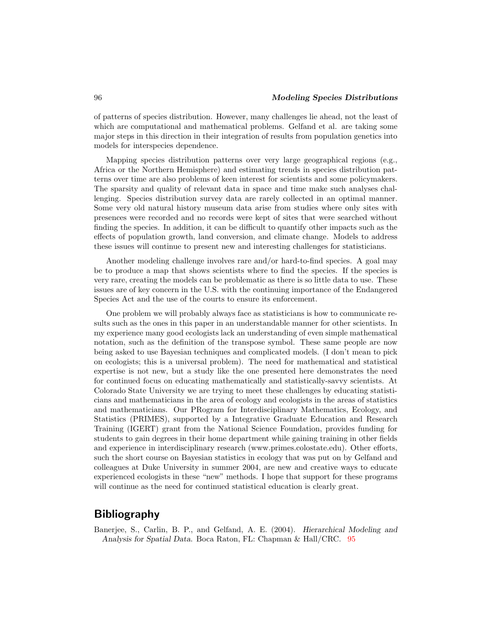of patterns of species distribution. However, many challenges lie ahead, not the least of which are computational and mathematical problems. Gelfand et al. are taking some major steps in this direction in their integration of results from population genetics into models for interspecies dependence.

Mapping species distribution patterns over very large geographical regions (e.g., Africa or the Northern Hemisphere) and estimating trends in species distribution patterns over time are also problems of keen interest for scientists and some policymakers. The sparsity and quality of relevant data in space and time make such analyses challenging. Species distribution survey data are rarely collected in an optimal manner. Some very old natural history museum data arise from studies where only sites with presences were recorded and no records were kept of sites that were searched without finding the species. In addition, it can be difficult to quantify other impacts such as the effects of population growth, land conversion, and climate change. Models to address these issues will continue to present new and interesting challenges for statisticians.

Another modeling challenge involves rare and/or hard-to-find species. A goal may be to produce a map that shows scientists where to find the species. If the species is very rare, creating the models can be problematic as there is so little data to use. These issues are of key concern in the U.S. with the continuing importance of the Endangered Species Act and the use of the courts to ensure its enforcement.

One problem we will probably always face as statisticians is how to communicate results such as the ones in this paper in an understandable manner for other scientists. In my experience many good ecologists lack an understanding of even simple mathematical notation, such as the definition of the transpose symbol. These same people are now being asked to use Bayesian techniques and complicated models. (I don't mean to pick on ecologists; this is a universal problem). The need for mathematical and statistical expertise is not new, but a study like the one presented here demonstrates the need for continued focus on educating mathematically and statistically-savvy scientists. At Colorado State University we are trying to meet these challenges by educating statisticians and mathematicians in the area of ecology and ecologists in the areas of statistics and mathematicians. Our PRogram for Interdisciplinary Mathematics, Ecology, and Statistics (PRIMES), supported by a Integrative Graduate Education and Research Training (IGERT) grant from the National Science Foundation, provides funding for students to gain degrees in their home department while gaining training in other fields and experience in interdisciplinary research (www.primes.colostate.edu). Other efforts, such the short course on Bayesian statistics in ecology that was put on by Gelfand and colleagues at Duke University in summer 2004, are new and creative ways to educate experienced ecologists in these "new" methods. I hope that support for these programs will continue as the need for continued statistical education is clearly great.

# Bibliography

Banerjee, S., Carlin, B. P., and Gelfand, A. E. (2004). Hierarchical Modeling and Analysis for Spatial Data. Boca Raton, FL: Chapman & Hall/CRC. 95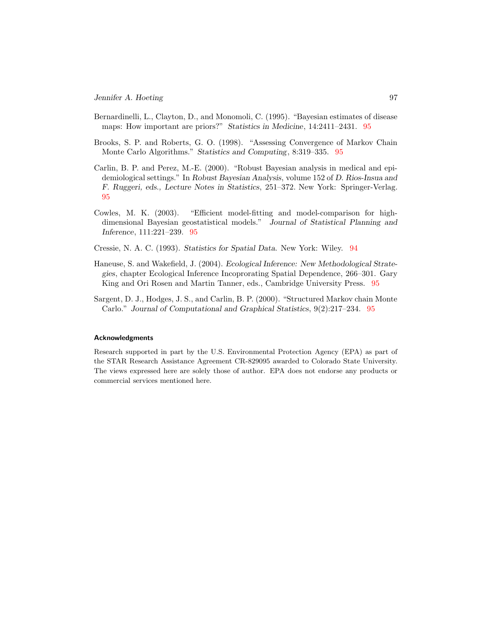- Bernardinelli, L., Clayton, D., and Monomoli, C. (1995). "Bayesian estimates of disease maps: How important are priors?" Statistics in Medicine, 14:2411–2431. 95
- Brooks, S. P. and Roberts, G. O. (1998). "Assessing Convergence of Markov Chain Monte Carlo Algorithms." Statistics and Computing, 8:319–335. 95
- Carlin, B. P. and Perez, M.-E. (2000). "Robust Bayesian analysis in medical and epidemiological settings." In Robust Bayesian Analysis, volume 152 of D. Rios-Insua and F. Ruggeri, eds., Lecture Notes in Statistics, 251–372. New York: Springer-Verlag. 95
- Cowles, M. K. (2003). "Efficient model-fitting and model-comparison for highdimensional Bayesian geostatistical models." Journal of Statistical Planning and Inference, 111:221–239. 95
- Cressie, N. A. C. (1993). Statistics for Spatial Data. New York: Wiley. 94
- Haneuse, S. and Wakefield, J. (2004). Ecological Inference: New Methodological Strategies, chapter Ecological Inference Incoprorating Spatial Dependence, 266–301. Gary King and Ori Rosen and Martin Tanner, eds., Cambridge University Press. 95
- Sargent, D. J., Hodges, J. S., and Carlin, B. P. (2000). "Structured Markov chain Monte Carlo." Journal of Computational and Graphical Statistics, 9(2):217–234. 95

#### Acknowledgments

Research supported in part by the U.S. Environmental Protection Agency (EPA) as part of the STAR Research Assistance Agreement CR-829095 awarded to Colorado State University. The views expressed here are solely those of author. EPA does not endorse any products or commercial services mentioned here.